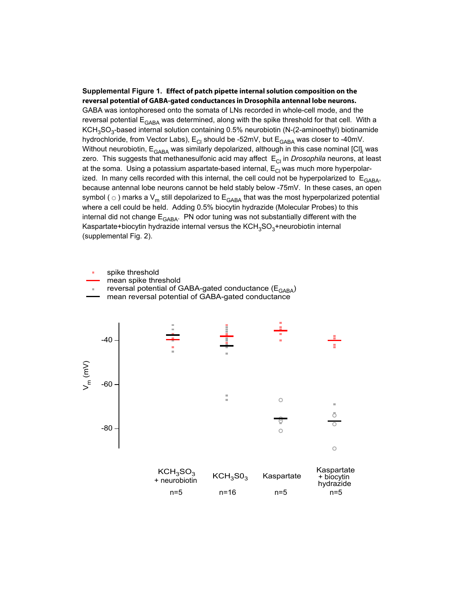## **Supplemental Figure 1. Effect of patch pipette internal solution composition on the reversal potential of GABA-gated conductances in Drosophila antennal lobe neurons.**

GABA was iontophoresed onto the somata of LNs recorded in whole-cell mode, and the reversal potential  $E_{\text{GABA}}$  was determined, along with the spike threshold for that cell. With a  $KCH<sub>3</sub>SO<sub>3</sub>$ -based internal solution containing 0.5% neurobiotin (N-(2-aminoethyl) biotinamide hydrochloride, from Vector Labs),  $E_{CI}$  should be -52mV, but  $E_{GABA}$  was closer to -40mV. Without neurobiotin, E<sub>GABA</sub> was similarly depolarized, although in this case nominal [Cl]<sub>i</sub> was zero. This suggests that methanesulfonic acid may affect E<sub>CI</sub> in *Drosophila* neurons, at least at the soma. Using a potassium aspartate-based internal,  $E_{\text{Cl}}$  was much more hyperpolarized. In many cells recorded with this internal, the cell could not be hyperpolarized to  $E<sub>GABA</sub>$ , because antennal lobe neurons cannot be held stably below -75mV. In these cases, an open symbol ( $\circ$ ) marks a V<sub>m</sub> still depolarized to E<sub>GABA</sub> that was the most hyperpolarized potential where a cell could be held. Adding 0.5% biocytin hydrazide (Molecular Probes) to this internal did not change  $E<sub>GABA</sub>$ . PN odor tuning was not substantially different with the Kaspartate+biocytin hydrazide internal versus the  $KCH<sub>3</sub>SO<sub>3</sub>$ +neurobiotin internal (supplemental Fig. 2).

 mean spike threshold spike threshold reversal potential of GABA-gated conductance  $(E<sub>GABA</sub>)$ 

mean reversal potential of GABA-gated conductance

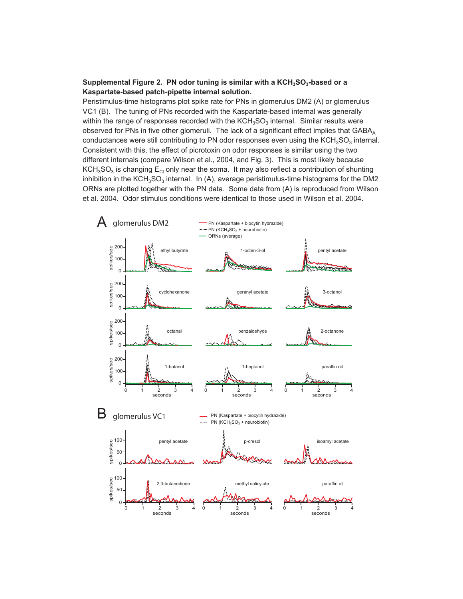## Supplemental Figure 2. PN odor tuning is similar with a KCH<sub>3</sub>SO<sub>3</sub>-based or a **Kaspartate-based patch-pipette internal solution.**

Peristimulus-time histograms plot spike rate for PNs in glomerulus DM2 (A) or glomerulus VC1 (B). The tuning of PNs recorded with the Kaspartate-based internal was generally within the range of responses recorded with the  $KCH<sub>3</sub>SO<sub>3</sub>$  internal. Similar results were observed for PNs in five other glomeruli. The lack of a significant effect implies that  $GABA_A$ conductances were still contributing to PN odor responses even using the  $KCH<sub>3</sub>SO<sub>3</sub>$  internal. Consistent with this, the effect of picrotoxin on odor responses is similar using the two different internals (compare Wilson et al., 2004, and Fig. 3). This is most likely because  $KCH<sub>3</sub>SO<sub>3</sub>$  is changing  $E<sub>CI</sub>$  only near the soma. It may also reflect a contribution of shunting inhibition in the  $KCH<sub>3</sub>SO<sub>3</sub>$  internal. In (A), average peristimulus-time histograms for the DM2 ORNs are plotted together with the PN data. Some data from (A) is reproduced from Wilson et al. 2004. Odor stimulus conditions were identical to those used in Wilson et al. 2004.